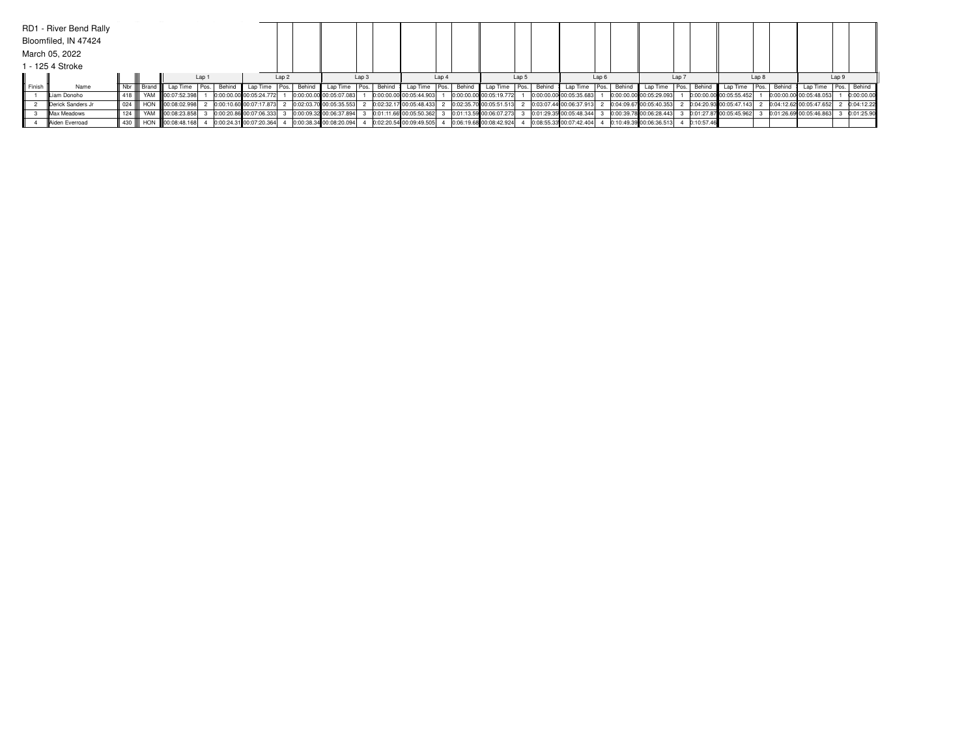|        | RD1 - River Bend Rally |            |  |                                 |  |                         |                  |                           |                  |        |                         |       |                                 |       |                          |                  |                          |                  |              |                         |                  |        |                         |       |            |
|--------|------------------------|------------|--|---------------------------------|--|-------------------------|------------------|---------------------------|------------------|--------|-------------------------|-------|---------------------------------|-------|--------------------------|------------------|--------------------------|------------------|--------------|-------------------------|------------------|--------|-------------------------|-------|------------|
|        | Bloomfiled, IN 47424   |            |  |                                 |  |                         |                  |                           |                  |        |                         |       |                                 |       |                          |                  |                          |                  |              |                         |                  |        |                         |       |            |
|        | March 05, 2022         |            |  |                                 |  |                         |                  |                           |                  |        |                         |       |                                 |       |                          |                  |                          |                  |              |                         |                  |        |                         |       |            |
|        | 1 - 125 4 Stroke       |            |  |                                 |  |                         |                  |                           |                  |        |                         |       |                                 |       |                          |                  |                          |                  |              |                         |                  |        |                         |       |            |
| Lap 1  |                        |            |  |                                 |  |                         | Lap <sub>2</sub> |                           | Lap <sub>3</sub> |        |                         | Lap 4 |                                 | Lap 5 |                          | Lap <sub>6</sub> |                          | Lap <sub>7</sub> |              |                         | Lap <sub>8</sub> |        |                         | Lap 9 |            |
| Finish | Name                   |            |  | Nbr    Brand    Lap Time   Pos. |  | Behind Lap Time         |                  | Pos. Behind Lap Time Pos. |                  | Behind | Lap Time Pos.           |       | Behind Lap Time   Pos.   Behind |       | Lap Time   Pos.   Behind |                  | Lap Time   Pos.   Behind |                  |              | Lap Time   Pos.         |                  | Behind | Lap Time Pos. Behind    |       |            |
|        | Liam Donoho            | II 418 III |  | YAM 100:07:52.398               |  | 0:00:00.00 00:05:24.772 |                  | 0:00:00.00 00:05:07.083   |                  |        | 0:00:00.00 00:05:44.903 |       | 0:00:00.00 00:05:19.772         |       | 0:00:00.00 00:05:35.683  |                  | 0:00:00.00 00:05:29.093  |                  |              | 0:00:00.00 00:05:55.452 |                  |        | 0:00:00.00 00:05:48.053 |       | 0:00:00.00 |
|        | Derick Sanders Jr      |            |  | 024     HON    00:08:02.998     |  | 0:00:10.60 00:07:17.873 |                  | 0:02:03.70 00:05:35.553   |                  |        | 0:02:32.17 00:05:48.433 |       | 0:02:35.70 00:05:51.513         |       | 0:03:07.44 00:06:37.913  |                  | 0:04:09.67 00:05:40.353  |                  |              | 0:04:20.93 00:05:47.143 |                  |        | 0:04:12.62 00:05:47.652 |       | 0:04:12.22 |
|        | Max Meadows            | 124        |  | YAM 800:08:23.858               |  | 0:00:20.86 00:07:06.333 |                  | 0:00:09.32 00:06:37.894   |                  |        | 0:01:11.66 00:05:50.362 |       | 0:01:13.59 00:06:07.273         |       | 0:01:29.35 00:05:48.344  |                  | 0:00:39.78 00:06:28.443  |                  |              | 0:01:27.87 00:05:45.962 |                  |        | 0:01:26.69 00:05:46.863 |       | 0:01:25.90 |
|        | Aiden Everroad         |            |  | 430 HON 00:08:48.168            |  | 0:00:24.31 00:07:20.364 |                  | 0:00:38.34 00:08:20.094   |                  |        | 0:02:20.54 00:09:49.505 |       | 0:06:19.68 00:08:42.924         |       | 0:08:55.33 00:07:42.404  |                  | 0:10:49.39 00:06:36.513  |                  | 4 0:10:57.46 |                         |                  |        |                         |       |            |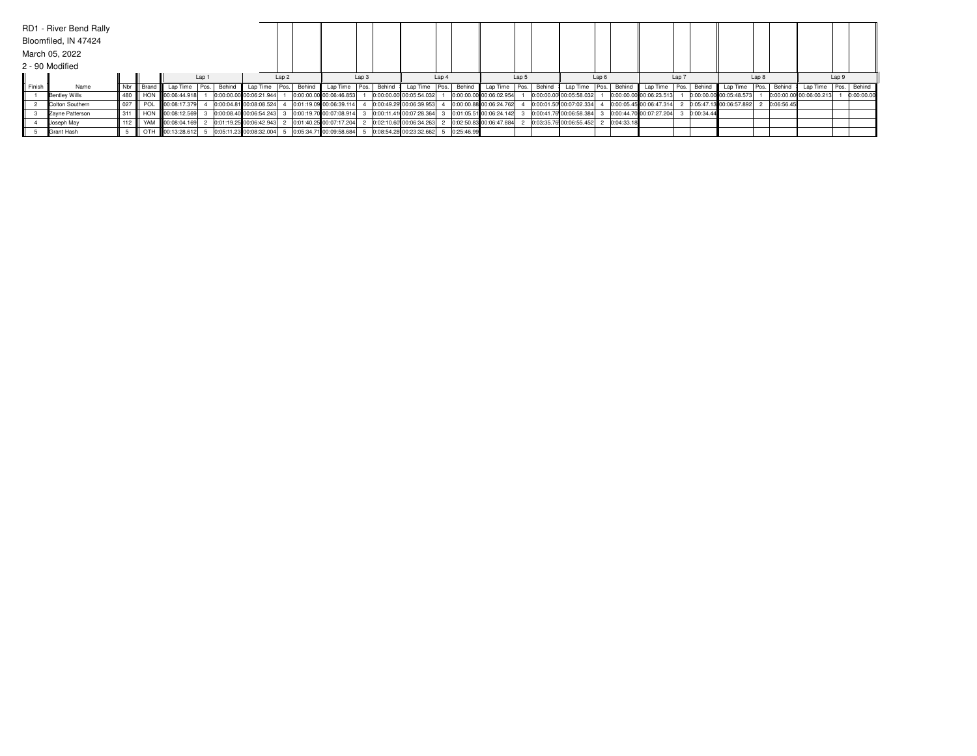|           | RD1 - River Bend Rally |     |                               |                   |       |        |                         |                  |             |                         |       |        |                                        |       |        |                         |       |        |                         |                  |             |                         |       |            |                         |       |            |                         |       |             |
|-----------|------------------------|-----|-------------------------------|-------------------|-------|--------|-------------------------|------------------|-------------|-------------------------|-------|--------|----------------------------------------|-------|--------|-------------------------|-------|--------|-------------------------|------------------|-------------|-------------------------|-------|------------|-------------------------|-------|------------|-------------------------|-------|-------------|
|           | Bloomfiled, IN 47424   |     |                               |                   |       |        |                         |                  |             |                         |       |        |                                        |       |        |                         |       |        |                         |                  |             |                         |       |            |                         |       |            |                         |       |             |
|           | March 05, 2022         |     |                               |                   |       |        |                         |                  |             |                         |       |        |                                        |       |        |                         |       |        |                         |                  |             |                         |       |            |                         |       |            |                         |       |             |
|           | 2 - 90 Modified        |     |                               |                   |       |        |                         |                  |             |                         |       |        |                                        |       |        |                         |       |        |                         |                  |             |                         |       |            |                         |       |            |                         |       |             |
|           |                        |     |                               |                   | Lap 1 |        |                         | Lap <sub>2</sub> |             |                         | Lap 3 |        |                                        | Lap 4 |        |                         | Lap 5 |        |                         | Lap <sub>6</sub> |             |                         | Lap 7 |            |                         | Lap 8 |            |                         | Lap 9 |             |
| II Finish | Name                   |     | II Nbr III Brand II           | Lap Time Pos.     |       | Behind | Lap Time                |                  | Pos. Behind | Lap Time   Pos.         |       | Behind | Lap Time   Pos.                        |       | Behind | Lap Time   Pos.         |       | Behind | Lap Time                |                  | Pos. Behind | Lap Time   Pos. Behind  |       |            | Lap Time Pos.           |       | Behind     | Lap Time                |       | Pos. Behind |
|           | <b>Bentley Wills</b>   |     | 480     HON    00:06:44.918   |                   |       |        | 0:00:00.00 00:06:21.944 |                  |             | 0:00:00.00 00:06:46.853 |       |        | 0:00:00.00 00:05:54.032                |       |        | 0:00:00.00 00:06:02.954 |       |        | 0:00:00.00 00:05:58.032 |                  |             | 0:00:00.00 00:06:23.513 |       |            | 0:00:00.00 00:05:48.573 |       |            | 0:00:00.00 00:06:00.213 |       | 0:00:00.00  |
|           | Colton Southern        |     | 027      POL     00:08:17.379 |                   |       |        | 0:00:04.81 00:08:08.524 |                  |             | 0:01:19.09 00:06:39.114 |       |        | 0:00:49.29 00:06:39.953                |       |        | 0:00:00.88 00:06:24.762 |       |        | 0:00:01.50 00:07:02.334 |                  |             | 0:00:05.45 00:06:47.314 |       |            | 0:05:47.13 00:06:57.892 |       | 0:06:56.45 |                         |       |             |
|           | Zavne Patterson        |     | 311 HON 00:08:12.569          |                   |       |        | 0:00:08.40 00:06:54.243 |                  |             | 0:00:19.70 00:07:08.914 |       |        | 0:00:11.41 00:07:28.364                |       |        | 0:01:05.51 00:06:24.142 |       |        | 0:00:41.76 00:06:58.384 |                  |             | 0:00:44.70 00:07:27.204 |       | 0:00:34.44 |                         |       |            |                         |       |             |
|           | Joseph May             | 112 |                               | YAM 100:08:04.169 |       |        | 0:01:19.25 00:06:42.943 |                  |             | 0:01:40.25 00:07:17.204 |       |        | 0:02:10.60 00:06:34.263                |       |        | 0:02:50.83 00:06:47.884 |       |        | 0:03:35.76 00:06:55.452 |                  | 0:04:33.18  |                         |       |            |                         |       |            |                         |       |             |
|           | <b>IGrant Hash</b>     |     |                               | OTH 00:13:28.612  |       |        | 0:05:11.23 00:08:32.004 |                  |             | 0:05:34.71 00:09:58.684 |       |        | $0:08:54.28$ 00:23:32.662 5 0:25:46.99 |       |        |                         |       |        |                         |                  |             |                         |       |            |                         |       |            |                         |       |             |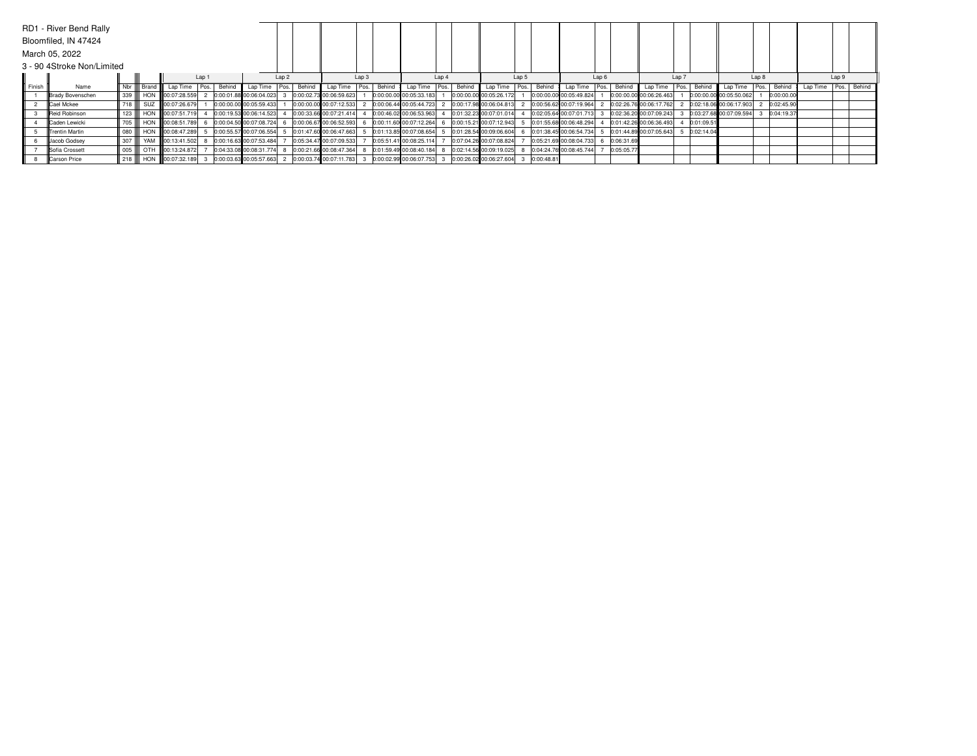|        | RD1 - River Bend Rally<br>Bloomfiled, IN 47424 |     |               |                     |                  |        |                         |                  |        |                         |      |                                  |       |                         |       |            |                         |                  |            |                         |       |            |                         |                  |            |          |       |             |
|--------|------------------------------------------------|-----|---------------|---------------------|------------------|--------|-------------------------|------------------|--------|-------------------------|------|----------------------------------|-------|-------------------------|-------|------------|-------------------------|------------------|------------|-------------------------|-------|------------|-------------------------|------------------|------------|----------|-------|-------------|
|        | March 05, 2022                                 |     |               |                     |                  |        |                         |                  |        |                         |      |                                  |       |                         |       |            |                         |                  |            |                         |       |            |                         |                  |            |          |       |             |
|        | 3 - 90 4Stroke Non/Limited                     |     |               |                     |                  |        |                         |                  |        |                         |      |                                  |       |                         |       |            |                         |                  |            |                         |       |            |                         |                  |            |          |       |             |
|        |                                                |     |               |                     | Lap <sub>1</sub> |        |                         | Lap <sub>2</sub> |        |                         | Lap3 |                                  | Lap 4 |                         | Lap 5 |            |                         | Lap <sub>6</sub> |            |                         | Lap 7 |            |                         | Lap <sub>8</sub> |            |          | Lap 9 |             |
| Finish | Name                                           |     | Nbr III Brand | Lap Time            | Pos.             | Behind | Lap Time                | Pos.             | Behind | Lap Time                |      | Pos. Behind Lap Time Pos. Behind |       | Lap Time   Pos.         |       | Behind     | Lap Time                | Pos.             |            | Behind Lap Time Pos.    |       | Behind     | Lap Time                | I Pos.           | Behind     | Lap Time |       | Pos. Behind |
|        | <b>Brady Bovenschen</b>                        | 339 |               | HON 100:07:28.559   |                  |        | 0:00:01.88 00:06:04.023 |                  |        | 0:00:02.73 00:06:59.623 |      | 0:00:00.00 00:05:33.183          |       | 0:00:00.00 00:05:26.172 |       |            | 0:00:00.00 00:05:49.824 |                  |            | 0:00:00.00 00:06:26.463 |       |            | 0:00:00.00 00:05:50.062 |                  | 0:00:00.00 |          |       |             |
|        | Cael Mckee                                     | 718 |               | SUZ 00:07:26.679    |                  |        | 0:00:00.00 00:05:59.433 |                  |        | 0:00:00.00 00:07:12.533 |      | 0:00:06.44 00:05:44.723          |       | 0:00:17.98 00:06:04.813 |       |            | 0:00:56.62 00:07:19.964 |                  |            | 0:02:26.76 00:06:17.762 |       |            | 0:02:18.06 00:06:17.903 |                  | 0:02:45.90 |          |       |             |
|        | Reid Robinson                                  | 123 |               | HON 100:07:51.719   |                  |        | 0:00:19.53 00:06:14.523 |                  |        | 0:00:33.66 00:07:21.414 |      | 0:00:46.02 00:06:53.963          |       | 0:01:32.23 00:07:01.014 |       |            | 0:02:05.64 00:07:01.713 |                  |            | 0:02:36.20 00:07:09.243 |       |            | 0:03:27.68 00:07:09.594 |                  | 0:04:19.37 |          |       |             |
|        | Caden Lewicki                                  | 705 |               | HON 100:08:51.789   |                  |        | 0:00:04.50 00:07:08.724 |                  |        | 0:00:06.67 00:06:52.593 |      | 0:00:11.60 00:07:12.264          |       | 0:00:15.21 00:07:12.943 |       |            | 0:01:55.68 00:06:48.294 |                  |            | 0:01:42.26 00:06:36.493 |       | 0:01:09.51 |                         |                  |            |          |       |             |
|        | <b>ITrentin Martin</b>                         | 080 |               | HON 800:08:47.289   |                  |        | 0:00:55.57 00:07:06.554 |                  |        | 0:01:47.60 00:06:47.663 |      | 0:01:13.85 00:07:08.654          |       | 0:01:28.54 00:09:06.604 |       |            | 0:01:38.45 00:06:54.734 |                  |            | 0:01:44.89 00:07:05.643 |       | 0:02:14.04 |                         |                  |            |          |       |             |
|        | Jacob Godsey                                   | 307 |               | YAM III00:13:41.502 |                  |        | 0:00:16.63 00:07:53.484 |                  |        | 0:05:34.47 00:07:09.533 |      | 0:05:51.41 00:08:25.114          |       | 0:07:04.26 00:07:08.824 |       |            | 0:05:21.69 00:08:04.733 |                  | 0:06:31.69 |                         |       |            |                         |                  |            |          |       |             |
|        | Sofia Crossett                                 | 005 |               | OTH 80:13:24.872    |                  |        | 0:04:33.08 00:08:31.774 |                  |        | 0:00:21.66 00:08:47.364 |      | 0:01:59.49 00:08:40.184          |       | 0:02:14.56 00:09:19.025 |       |            | 0:04:24.76 00:08:45.744 |                  | 0:05:05.77 |                         |       |            |                         |                  |            |          |       |             |
|        | Carson Price                                   | 218 |               | HON 100:07:32.189   |                  |        | 0:00:03.63 00:05:57.663 |                  |        | 0:00:03.74 00:07:11.783 |      | 0:00:02.99 00:06:07.753          |       | 0:00:26.02 00:06:27.604 |       | 0:00:48.81 |                         |                  |            |                         |       |            |                         |                  |            |          |       |             |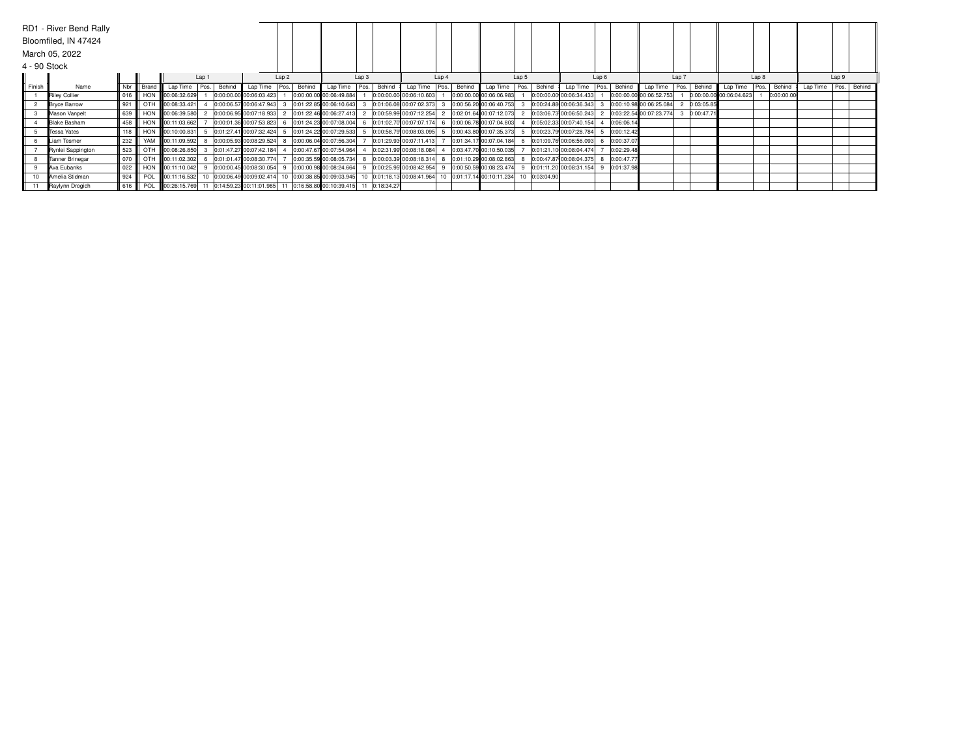|              | RD1 - River Bend Rally |     |                  |                   |       |        |                                         |       |        |                                                                                  |       |        |                           |       |        |                         |       |               |                           |                  |            |                           |       |            |                         |                  |            |                          |       |  |
|--------------|------------------------|-----|------------------|-------------------|-------|--------|-----------------------------------------|-------|--------|----------------------------------------------------------------------------------|-------|--------|---------------------------|-------|--------|-------------------------|-------|---------------|---------------------------|------------------|------------|---------------------------|-------|------------|-------------------------|------------------|------------|--------------------------|-------|--|
|              | Bloomfiled, IN 47424   |     |                  |                   |       |        |                                         |       |        |                                                                                  |       |        |                           |       |        |                         |       |               |                           |                  |            |                           |       |            |                         |                  |            |                          |       |  |
|              | March 05, 2022         |     |                  |                   |       |        |                                         |       |        |                                                                                  |       |        |                           |       |        |                         |       |               |                           |                  |            |                           |       |            |                         |                  |            |                          |       |  |
| 4 - 90 Stock |                        |     |                  |                   |       |        |                                         |       |        |                                                                                  |       |        |                           |       |        |                         |       |               |                           |                  |            |                           |       |            |                         |                  |            |                          |       |  |
|              |                        |     |                  |                   | Lap 1 |        |                                         | Lap 2 |        |                                                                                  | Lap 3 |        |                           | Lap 4 |        |                         | Lap 5 |               |                           | Lap <sub>6</sub> |            |                           | Lap 7 |            |                         | Lap <sub>8</sub> |            |                          | Lap 9 |  |
| Finish       | Name                   |     | Nbr Brand        | Lap Time          | Pos.  | Behind | Lap Time                                | Pos.  | Behind | Lap Time   Pos.                                                                  |       | Behind | Lap Time   Pos.           |       | Behind | Lap Time   Pos.         |       | Behind        | Lap Time                  | Pos.             |            | Behind Lap Time           | Pos.  | Behind     | Lap Time                | Pos.             | Behind     | Lap Time   Pos.   Behind |       |  |
|              | Riley Collier          | 016 |                  | HON 800:06:32.629 |       |        | 0:00:00.00 00:06:03.423                 |       |        | 0:00:00.00 00:06:49.884                                                          |       |        | 0:00:00.00 00:06:10.603   |       |        | 0:00:00.00 00:06:06.983 |       |               | 0:00:00.00 00:06:34.433   |                  |            | 0:00:00.00 00:06:52.753   |       |            | 0:00:00.00 00:06:04.623 |                  | 0:00:00.00 |                          |       |  |
|              | <b>Bryce Barrow</b>    | 921 | OTH              | 00:08:33.421      |       |        | 0:00:06.57 00:06:47.943                 |       |        | 0:01:22.85 00:06:10.643                                                          |       |        | 0:01:06.08 00:07:02.373   |       |        | 0:00:56.20 00:06:40.753 |       |               | 0:00:24.88 00:06:36.343   |                  |            | 0:00:10.98 00:06:25.084   |       | 0:03:05.85 |                         |                  |            |                          |       |  |
|              | Mason Vanpelt          | 639 |                  | HON 00:06:39.580  |       |        | 0:00:06.95 00:07:18.933                 |       |        | 2 0:01:22.46 00:06:27.413                                                        |       |        | 2 0:00:59.99 00:07:12.254 |       |        | 0:02:01.64 00:07:12.073 |       |               | $0:03:06.73$ 00:06:50.243 |                  |            | 2 0:03:22.54 00:07:23.774 |       | 0:00:47.71 |                         |                  |            |                          |       |  |
|              | <b>Blake Basham</b>    | 458 |                  | HON 00:11:03.662  |       |        | 0:00:01.36 00:07:53.823                 |       |        | 6 0:01:24.23 00:07:08.004                                                        |       |        | 6 0:01:02.70 00:07:07.174 |       |        | 0:00:06.78 00:07:04.803 |       |               | 0:05:02.33 00:07:40.154   |                  | 0:06:06.14 |                           |       |            |                         |                  |            |                          |       |  |
|              | <b>ITessa Yates</b>    | 118 |                  | HON 800:10:00.831 |       |        | 0:01:27.41 00:07:32.424                 |       |        | 0:01:24.22 00:07:29.533                                                          |       |        | 0:00:58.79 00:08:03.095   |       |        | 0:00:43.80 00:07:35.373 |       |               | 0:00:23.79 00:07:28.784   |                  | 0:00:12.42 |                           |       |            |                         |                  |            |                          |       |  |
|              | Liam Tesmer            | 232 |                  | YAM 00:11:09.592  |       |        | 0:00:05.93 00:08:29.524                 |       |        | 0:00:06.04 00:07:56.304                                                          |       |        | 0:01:29.93 00:07:11.413   |       |        | 0:01:34.17 00:07:04.184 |       |               | 0:01:09.76 00:06:56.093   |                  | 0:00:37.07 |                           |       |            |                         |                  |            |                          |       |  |
|              | Rynlei Sappington      | 523 |                  | OTH 00:08:26.850  |       |        | 0:01:47.27 00:07:42.184                 |       |        | 0:00:47.67 00:07:54.964                                                          |       |        | 0:02:31.99 00:08:18.084   |       |        | 0:03:47.70 00:10:50.035 |       |               | 0:01:21.10 00:08:04.474   |                  | 0:02:29.48 |                           |       |            |                         |                  |            |                          |       |  |
|              | Tanner Brinegar        | 070 |                  | OTH 00:11:02.302  |       |        | 0:01:01.47 00:08:30.774                 |       |        | 0:00:35.59 00:08:05.734                                                          |       |        | 0:00:03.39 00:08:18.314   |       |        | 0:01:10.29 00:08:02.863 |       |               | 0:00:47.87 00:08:04.375   |                  | 0:00:47.77 |                           |       |            |                         |                  |            |                          |       |  |
|              | Ava Eubanks            | 022 |                  | HON 00:11:10.042  |       |        | 0:00:00.45 00:08:30.054                 |       |        | 0:00:00.98 00:08:24.664                                                          |       |        | 9 0:00:25.95 00:08:42.954 |       |        | 0:00:50.59 00:08:23.474 |       |               | 0:01:11.20 00:08:31.154   |                  | 0:01:37.98 |                           |       |            |                         |                  |            |                          |       |  |
|              | Amelia Stidman         | 924 | POL              |                   |       |        | 00:11:16.532 10 0:00:06.49 00:09:02.414 |       |        | 10 0:00:38.85 00:09:03.945 10 0:01:18.13 00:08:41.964                            |       |        |                           |       |        | 0:01:17.14 00:10:11.234 |       | 10 0:03:04.90 |                           |                  |            |                           |       |            |                         |                  |            |                          |       |  |
|              | Raylynn Drogich        |     | 616 <b>C</b> POL |                   |       |        |                                         |       |        | 00:26:15.769 11 0:14:59.23 00:11:01.985 11 0:16:58.80 00:10:39.415 11 0:18:34.27 |       |        |                           |       |        |                         |       |               |                           |                  |            |                           |       |            |                         |                  |            |                          |       |  |